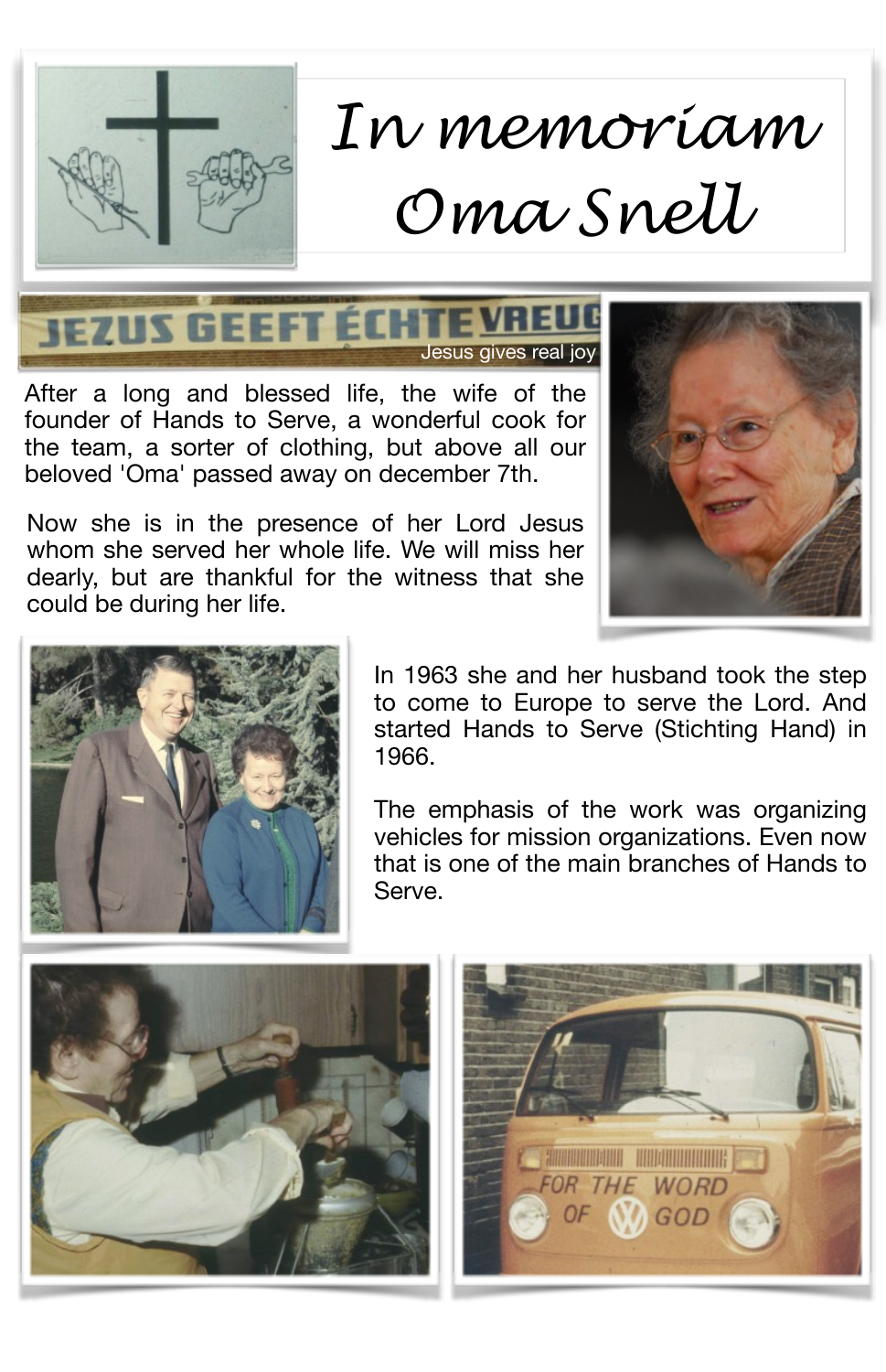

## *In memoriam Oma Snell*

Jesus gives real joy

After a long and blessed life, the wife of the founder of Hands to Serve, a wonderful cook for the team, a sorter of clothing, but above all our beloved 'Oma' passed away on december 7th.

Now she is in the presence of her Lord Jesus whom she served her whole life. We will miss her dearly, but are thankful for the witness that she could be during her life.





In 1963 she and her husband took the step to come to Europe to serve the Lord. And started Hands to Serve (Stichting Hand) in 1966.

The emphasis of the work was organizing vehicles for mission organizations. Even now that is one of the main branches of Hands to Serve.